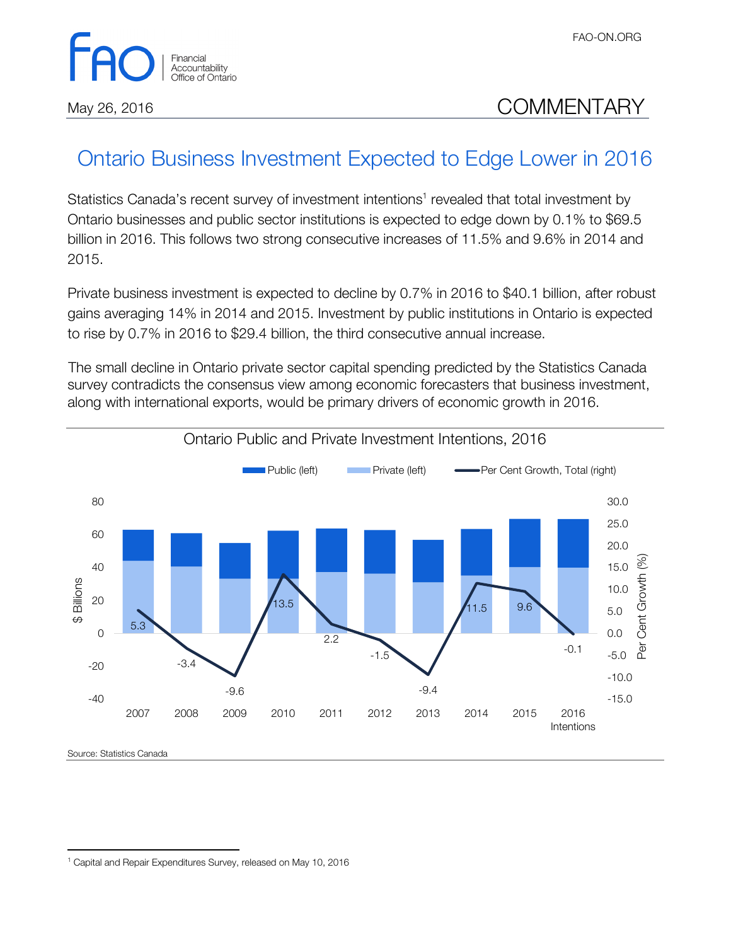

## May 26, 2016 **COMMENTARY**

## Ontario Business Investment Expected to Edge Lower in 2016

Statistics Canada's recent survey of investment intentions<sup>1</sup> revealed that total investment by Ontario businesses and public sector institutions is expected to edge down by 0.1% to \$69.5 billion in 2016. This follows two strong consecutive increases of 11.5% and 9.6% in 2014 and 2015.

Private business investment is expected to decline by 0.7% in 2016 to \$40.1 billion, after robust gains averaging 14% in 2014 and 2015. Investment by public institutions in Ontario is expected to rise by 0.7% in 2016 to \$29.4 billion, the third consecutive annual increase.

The small decline in Ontario private sector capital spending predicted by the Statistics Canada survey contradicts the consensus view among economic forecasters that business investment, along with international exports, would be primary drivers of economic growth in 2016.



 $\overline{a}$ 

<sup>&</sup>lt;sup>1</sup> Capital and Repair Expenditures Survey, released on May 10, 2016